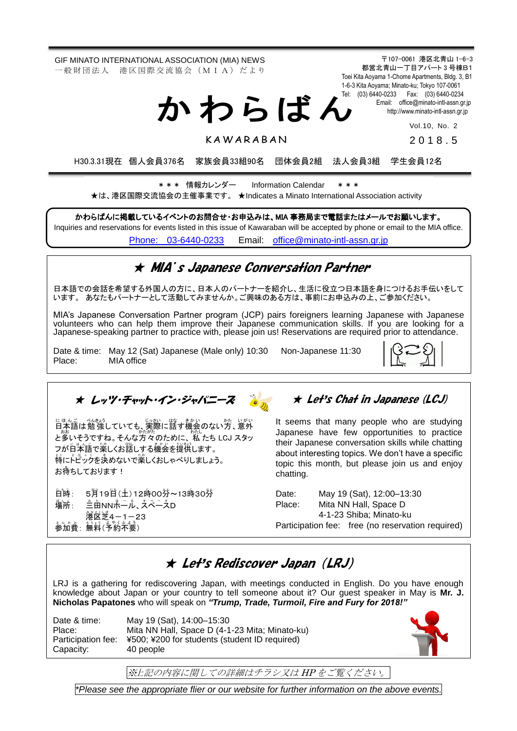GIF MINATO INTERNATIONAL ASSOCIATION (MIA) NEWS 一 般 財 団 法 人 港 区 国 際 交 流 協 会 (M I A) だ よ り

か わ ら ば ん

〒107-0061 港区北青山 1-6-3 都営北青山一丁目アパート 3 号棟B1 Toei Kita Aoyama 1-Chome Apartments, Bldg. 3, B1 1-6-3 Kita Aoyama; Minato-ku; Tokyo 107-0061 Tel: (03) 6440-0233 Fax: (03) 6440-0234 Email: [office@minato-intl-assn.gr.jp](mailto:office@minato-intl-assn.gr.jp) [http://www.minato-intl-assn.gr.jp](http://www.minato-intl-assn.gr.jp/)

Vol.10, No. 2

**KAWARABAN** 

201 8 . 5

H30.3.31現在 個人会員376名 家族会員33組90名 団体会員2組 法人会員3組 学生会員12名

\* \* \* 情報カレンダー Information Calendar \* \* \* ★は、港区国際交流協会の主催事業です。 ★Indicates a Minato International Association activity

かわらばんに掲載しているイベントのお問合せ・お申込みは、MIA 事務局まで電話またはメールでお願いします。

Inquiries and reservations for events listed in this issue of Kawaraban will be accepted by phone or email to the MIA office. [Phone: 03-6440-0233](mailto:Phone:%20%2003-6440-0233) Email: [office@minato-intl-assn.gr.jp](mailto:office@minato-intl-assn.gr.jp)

### ★ MIA's Japanese Conversation Partner

日本語での会話を希望する外国人の方に、日本人のパートナーを紹介し、生活に役立つ日本語を身につけるお手伝いをして います。 あなたもパートナーとして活動してみませんか。ご興味のある方は、事前にお申込みの上、ご参加ください。

MIA's Japanese Conversation Partner program (JCP) pairs foreigners learning Japanese with Japanese volunteers who can help them improve their Japanese communication skills. If you are looking for a Japanese-speaking partner to practice with, please join us! Reservations are required prior to attendance.

Date & time: May 12 (Sat) Japanese (Male only) 10:30 Non-Japanese 11:30 Place: MIA office

★ レッツ・チャット・イン・ジャパニーズ

にほんご べきお<br>日本語は勉強していても、実際に話す機会のない方、意外 と多 いそうですね。そんな方々 のために、 私 たち LCJ スタッ おお かたがた わたし **フが日本語で薬しくお話しする機会を提供します。** 特にトピックを決めないで薬しくおしゃべりしましょう。 お待 ま ちしております!

 $\mathbf{H}$ 目時 : 5月19日(土)12時00券~13時30券 場所: : 三田 み た NNホール ほ ー る 、スペース す ぺ ー す D

港区み な と く芝 し ば 4-1-23 …<br>参加費:無料(予約不要)

 $\overline{a}$ 

### $\star$  Let's Chat in Japanese (LCJ)

It seems that many people who are studying Japanese have few opportunities to practice their Japanese conversation skills while chatting about interesting topics. We don't have a specific topic this month, but please join us and enjoy chatting.

Date: May 19 (Sat), 12:00–13:30 Place: Mita NN Hall, Space D 4-1-23 Shiba; Minato-ku Participation fee: free (no reservation required)

### ★ Let's Rediscover Japan (LRJ)

LRJ is a gathering for rediscovering Japan, with meetings conducted in English. Do you have enough knowledge about Japan or your country to tell someone about it? Our guest speaker in May is **Mr. J. Nicholas Papatones** who will speak on *"Trump, Trade, Turmoil, Fire and Fury for 2018!"*

Date & time: May 19 (Sat), 14:00-15:30<br>Place: Mita NN Hall, Space D (4-1 Place: Mita NN Hall, Space D (4-1-23 Mita; Minato-ku)<br>Participation fee: ¥500; ¥200 for students (student ID required) ¥500; ¥200 for students (student ID required) Capacity: 40 people



※上記の内容に関しての詳細はチラシ又は HP をご覧ください。

*\*Please see the appropriate flier or our website for further information on the above events.*